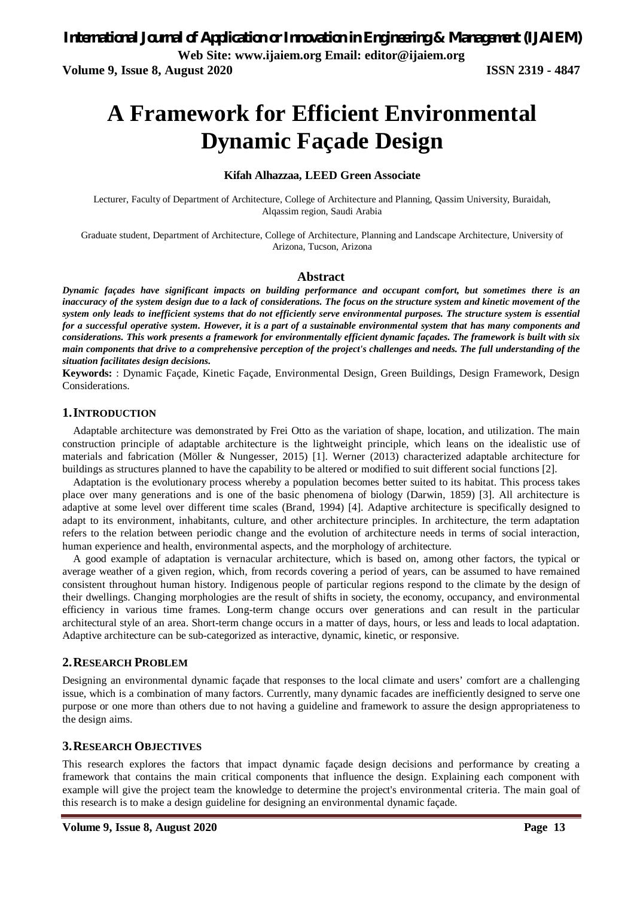**Volume 9, Issue 8, August 2020 ISSN 2319 - 4847**

# **A Framework for Efficient Environmental Dynamic Façade Design**

#### **Kifah Alhazzaa, LEED Green Associate**

Lecturer, Faculty of Department of Architecture, College of Architecture and Planning, Qassim University, Buraidah, Alqassim region, Saudi Arabia

Graduate student, Department of Architecture, College of Architecture, Planning and Landscape Architecture, University of Arizona, Tucson, Arizona

#### **Abstract**

*Dynamic façades have significant impacts on building performance and occupant comfort, but sometimes there is an inaccuracy of the system design due to a lack of considerations. The focus on the structure system and kinetic movement of the system only leads to inefficient systems that do not efficiently serve environmental purposes. The structure system is essential for a successful operative system. However, it is a part of a sustainable environmental system that has many components and considerations. This work presents a framework for environmentally efficient dynamic façades. The framework is built with six main components that drive to a comprehensive perception of the project's challenges and needs. The full understanding of the situation facilitates design decisions.*

**Keywords:** : Dynamic Façade, Kinetic Façade, Environmental Design, Green Buildings, Design Framework, Design Considerations.

#### **1.INTRODUCTION**

Adaptable architecture was demonstrated by Frei Otto as the variation of shape, location, and utilization. The main construction principle of adaptable architecture is the lightweight principle, which leans on the idealistic use of materials and fabrication (Möller & Nungesser, 2015) [1]. Werner (2013) characterized adaptable architecture for buildings as structures planned to have the capability to be altered or modified to suit different social functions [2].

Adaptation is the evolutionary process whereby a population becomes better suited to its habitat. This process takes place over many generations and is one of the basic phenomena of biology (Darwin, 1859) [3]. All architecture is adaptive at some level over different time scales (Brand, 1994) [4]. Adaptive architecture is specifically designed to adapt to its environment, inhabitants, culture, and other architecture principles. In architecture, the term adaptation refers to the relation between periodic change and the evolution of architecture needs in terms of social interaction, human experience and health, environmental aspects, and the morphology of architecture.

A good example of adaptation is vernacular architecture, which is based on, among other factors, the typical or average weather of a given region, which, from records covering a period of years, can be assumed to have remained consistent throughout human history. Indigenous people of particular regions respond to the climate by the design of their dwellings. Changing morphologies are the result of shifts in society, the economy, occupancy, and environmental efficiency in various time frames. Long-term change occurs over generations and can result in the particular architectural style of an area. Short-term change occurs in a matter of days, hours, or less and leads to local adaptation. Adaptive architecture can be sub-categorized as interactive, dynamic, kinetic, or responsive.

#### **2.RESEARCH PROBLEM**

Designing an environmental dynamic façade that responses to the local climate and users' comfort are a challenging issue, which is a combination of many factors. Currently, many dynamic facades are inefficiently designed to serve one purpose or one more than others due to not having a guideline and framework to assure the design appropriateness to the design aims.

#### **3.RESEARCH OBJECTIVES**

This research explores the factors that impact dynamic façade design decisions and performance by creating a framework that contains the main critical components that influence the design. Explaining each component with example will give the project team the knowledge to determine the project's environmental criteria. The main goal of this research is to make a design guideline for designing an environmental dynamic façade.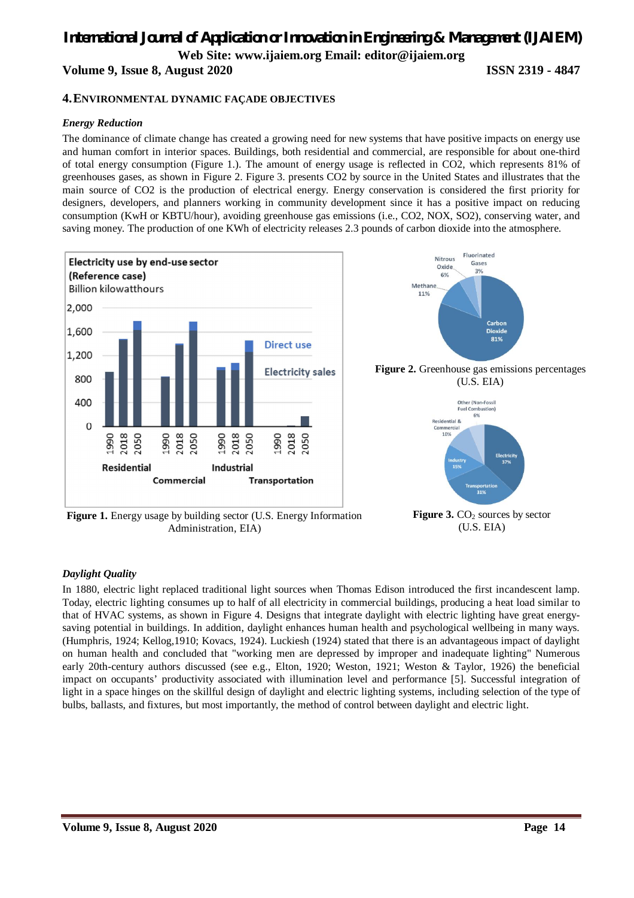# *International Journal of Application or Innovation in Engineering & Management (IJAIEM)*

**Web Site: www.ijaiem.org Email: editor@ijaiem.org**

**Volume 9, Issue 8, August 2020 ISSN 2319 - 4847**

#### **4.ENVIRONMENTAL DYNAMIC FAÇADE OBJECTIVES**

#### *Energy Reduction*

The dominance of climate change has created a growing need for new systems that have positive impacts on energy use and human comfort in interior spaces. Buildings, both residential and commercial, are responsible for about one-third of total energy consumption (Figure 1.). The amount of energy usage is reflected in CO2, which represents 81% of greenhouses gases, as shown in Figure 2. Figure 3. presents CO2 by source in the United States and illustrates that the main source of CO2 is the production of electrical energy. Energy conservation is considered the first priority for designers, developers, and planners working in community development since it has a positive impact on reducing consumption (KwH or KBTU/hour), avoiding greenhouse gas emissions (i.e., CO2, NOX, SO2), conserving water, and saving money. The production of one KWh of electricity releases 2.3 pounds of carbon dioxide into the atmosphere.



**Figure 1.** Energy usage by building sector (U.S. Energy Information Administration, EIA)

(U.S. EIA)

#### *Daylight Quality*

In 1880, electric light replaced traditional light sources when Thomas Edison introduced the first incandescent lamp. Today, electric lighting consumes up to half of all electricity in commercial buildings, producing a heat load similar to that of HVAC systems, as shown in Figure 4. Designs that integrate daylight with electric lighting have great energysaving potential in buildings. In addition, daylight enhances human health and psychological wellbeing in many ways. (Humphris, 1924; Kellog,1910; Kovacs, 1924). Luckiesh (1924) stated that there is an advantageous impact of daylight on human health and concluded that "working men are depressed by improper and inadequate lighting" Numerous early 20th-century authors discussed (see e.g., Elton, 1920; Weston, 1921; Weston & Taylor, 1926) the beneficial impact on occupants' productivity associated with illumination level and performance [5]. Successful integration of light in a space hinges on the skillful design of daylight and electric lighting systems, including selection of the type of bulbs, ballasts, and fixtures, but most importantly, the method of control between daylight and electric light.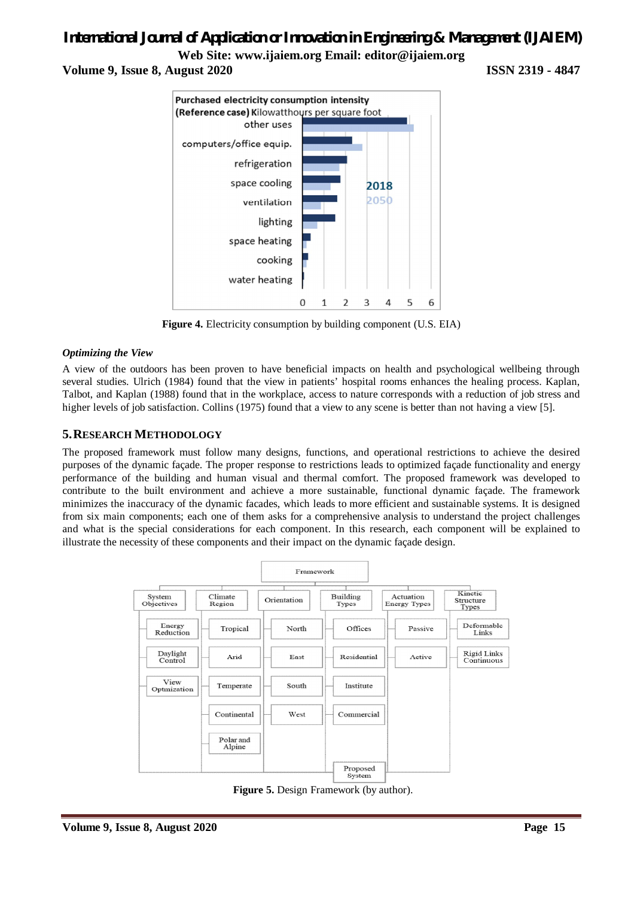## *International Journal of Application or Innovation in Engineering & Management (IJAIEM)*

**Web Site: www.ijaiem.org Email: editor@ijaiem.org**

**Volume 9, Issue 8, August 2020 ISSN 2319 - 4847**



**Figure 4.** Electricity consumption by building component (U.S. EIA)

#### *Optimizing the View*

A view of the outdoors has been proven to have beneficial impacts on health and psychological wellbeing through several studies. Ulrich (1984) found that the view in patients' hospital rooms enhances the healing process. Kaplan, Talbot, and Kaplan (1988) found that in the workplace, access to nature corresponds with a reduction of job stress and higher levels of job satisfaction. Collins (1975) found that a view to any scene is better than not having a view [5].

#### **5.RESEARCH METHODOLOGY**

The proposed framework must follow many designs, functions, and operational restrictions to achieve the desired purposes of the dynamic façade. The proper response to restrictions leads to optimized façade functionality and energy performance of the building and human visual and thermal comfort. The proposed framework was developed to contribute to the built environment and achieve a more sustainable, functional dynamic façade. The framework minimizes the inaccuracy of the dynamic facades, which leads to more efficient and sustainable systems. It is designed from six main components; each one of them asks for a comprehensive analysis to understand the project challenges and what is the special considerations for each component. In this research, each component will be explained to illustrate the necessity of these components and their impact on the dynamic façade design.



**Figure 5.** Design Framework (by author).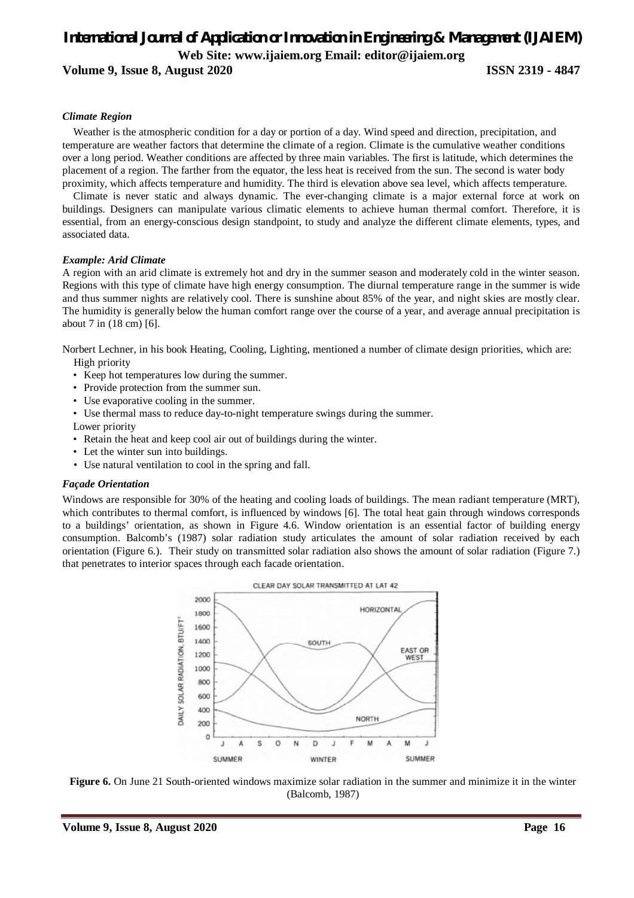### *International Journal of Application or Innovation in Engineering & Management (IJAIEM)* **Web Site: www.ijaiem.org Email: editor@ijaiem.org**

**Volume 9, Issue 8, August 2020 ISSN 2319 - 4847**

#### *Climate Region*

Weather is the atmospheric condition for a day or portion of a day. Wind speed and direction, precipitation, and temperature are weather factors that determine the climate of a region. Climate is the cumulative weather conditions over a long period. Weather conditions are affected by three main variables. The first is latitude, which determines the placement of a region. The farther from the equator, the less heat is received from the sun. The second is water body proximity, which affects temperature and humidity. The third is elevation above sea level, which affects temperature.

Climate is never static and always dynamic. The ever-changing climate is a major external force at work on buildings. Designers can manipulate various climatic elements to achieve human thermal comfort. Therefore, it is essential, from an energy-conscious design standpoint, to study and analyze the different climate elements, types, and associated data.

#### *Example: Arid Climate*

A region with an arid climate is extremely hot and dry in the summer season and moderately cold in the winter season. Regions with this type of climate have high energy consumption. The diurnal temperature range in the summer is wide and thus summer nights are relatively cool. There is sunshine about 85% of the year, and night skies are mostly clear. The humidity is generally below the human comfort range over the course of a year, and average annual precipitation is about 7 in (18 cm) [6].

Norbert Lechner, in his book Heating, Cooling, Lighting, mentioned a number of climate design priorities, which are:

High priority

- Keep hot temperatures low during the summer.
- Provide protection from the summer sun.
- Use evaporative cooling in the summer.
- Use thermal mass to reduce day-to-night temperature swings during the summer.

Lower priority

- Retain the heat and keep cool air out of buildings during the winter.
- Let the winter sun into buildings.
- Use natural ventilation to cool in the spring and fall.

#### *Façade Orientation*

Windows are responsible for 30% of the heating and cooling loads of buildings. The mean radiant temperature (MRT), which contributes to thermal comfort, is influenced by windows [6]. The total heat gain through windows corresponds to a buildings' orientation, as shown in Figure 4.6. Window orientation is an essential factor of building energy consumption. Balcomb's (1987) solar radiation study articulates the amount of solar radiation received by each orientation (Figure 6.). Their study on transmitted solar radiation also shows the amount of solar radiation (Figure 7.) that penetrates to interior spaces through each facade orientation.



**Figure 6.** On June 21 South-oriented windows maximize solar radiation in the summer and minimize it in the winter (Balcomb, 1987)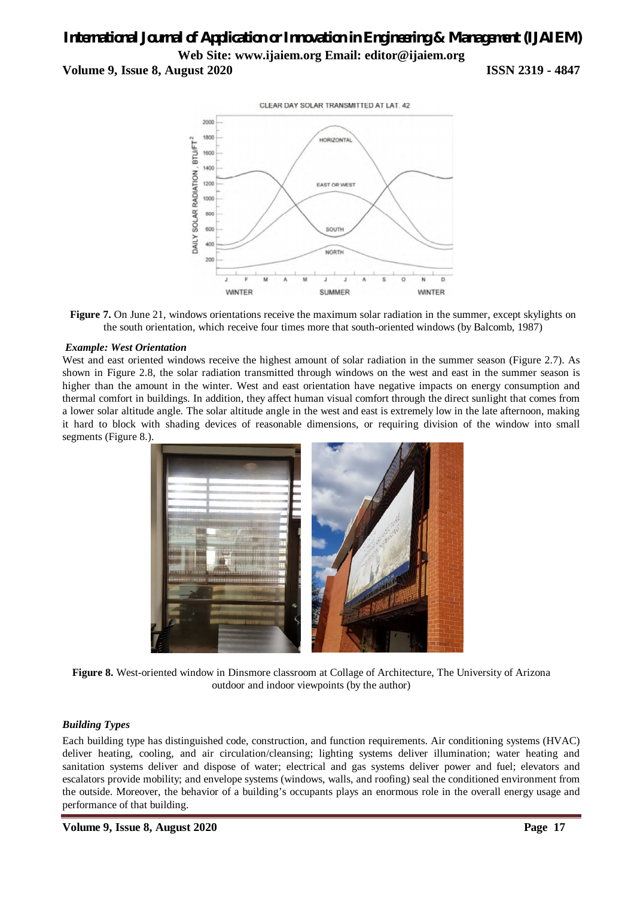### *International Journal of Application or Innovation in Engineering & Management (IJAIEM)* **Web Site: www.ijaiem.org Email: editor@ijaiem.org Volume 9, Issue 8, August 2020 ISSN 2319 - 4847**





#### *Example: West Orientation*

West and east oriented windows receive the highest amount of solar radiation in the summer season (Figure 2.7). As shown in Figure 2.8, the solar radiation transmitted through windows on the west and east in the summer season is higher than the amount in the winter. West and east orientation have negative impacts on energy consumption and thermal comfort in buildings. In addition, they affect human visual comfort through the direct sunlight that comes from a lower solar altitude angle. The solar altitude angle in the west and east is extremely low in the late afternoon, making it hard to block with shading devices of reasonable dimensions, or requiring division of the window into small segments (Figure 8.).



**Figure 8.** West-oriented window in Dinsmore classroom at Collage of Architecture, The University of Arizona outdoor and indoor viewpoints (by the author)

#### *Building Types*

Each building type has distinguished code, construction, and function requirements. Air conditioning systems (HVAC) deliver heating, cooling, and air circulation/cleansing; lighting systems deliver illumination; water heating and sanitation systems deliver and dispose of water; electrical and gas systems deliver power and fuel; elevators and escalators provide mobility; and envelope systems (windows, walls, and roofing) seal the conditioned environment from the outside. Moreover, the behavior of a building's occupants plays an enormous role in the overall energy usage and performance of that building.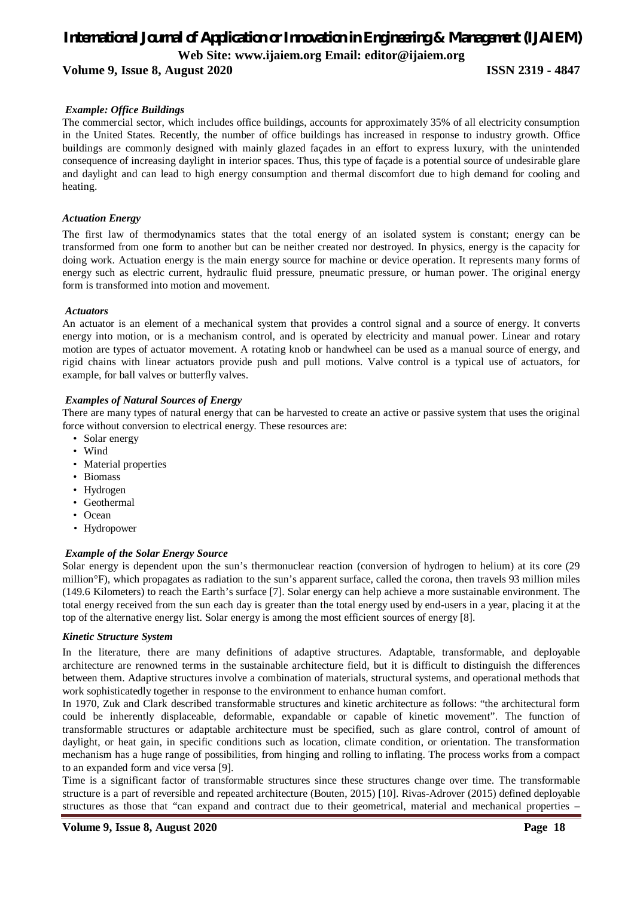### *International Journal of Application or Innovation in Engineering & Management (IJAIEM)* **Web Site: www.ijaiem.org Email: editor@ijaiem.org**

#### **Volume 9, Issue 8, August 2020 ISSN 2319 - 4847**

### *Example: Office Buildings*

The commercial sector, which includes office buildings, accounts for approximately 35% of all electricity consumption in the United States. Recently, the number of office buildings has increased in response to industry growth. Office buildings are commonly designed with mainly glazed façades in an effort to express luxury, with the unintended consequence of increasing daylight in interior spaces. Thus, this type of façade is a potential source of undesirable glare and daylight and can lead to high energy consumption and thermal discomfort due to high demand for cooling and heating.

#### *Actuation Energy*

The first law of thermodynamics states that the total energy of an isolated system is constant; energy can be transformed from one form to another but can be neither created nor destroyed. In physics, energy is the capacity for doing work. Actuation energy is the main energy source for machine or device operation. It represents many forms of energy such as electric current, hydraulic fluid pressure, pneumatic pressure, or human power. The original energy form is transformed into motion and movement.

#### *Actuators*

An actuator is an element of a mechanical system that provides a control signal and a source of energy. It converts energy into motion, or is a mechanism control, and is operated by electricity and manual power. Linear and rotary motion are types of actuator movement. A rotating knob or handwheel can be used as a manual source of energy, and rigid chains with linear actuators provide push and pull motions. Valve control is a typical use of actuators, for example, for ball valves or butterfly valves.

#### *Examples of Natural Sources of Energy*

There are many types of natural energy that can be harvested to create an active or passive system that uses the original force without conversion to electrical energy. These resources are:

- Solar energy
- Wind
- Material properties
- Biomass
- Hydrogen
- Geothermal
- Ocean
- Hydropower

#### *Example of the Solar Energy Source*

Solar energy is dependent upon the sun's thermonuclear reaction (conversion of hydrogen to helium) at its core (29 million°F), which propagates as radiation to the sun's apparent surface, called the corona, then travels 93 million miles (149.6 Kilometers) to reach the Earth's surface [7]. Solar energy can help achieve a more sustainable environment. The total energy received from the sun each day is greater than the total energy used by end-users in a year, placing it at the top of the alternative energy list. Solar energy is among the most efficient sources of energy [8].

#### *Kinetic Structure System*

In the literature, there are many definitions of adaptive structures. Adaptable, transformable, and deployable architecture are renowned terms in the sustainable architecture field, but it is difficult to distinguish the differences between them. Adaptive structures involve a combination of materials, structural systems, and operational methods that work sophisticatedly together in response to the environment to enhance human comfort.

In 1970, Zuk and Clark described transformable structures and kinetic architecture as follows: "the architectural form could be inherently displaceable, deformable, expandable or capable of kinetic movement". The function of transformable structures or adaptable architecture must be specified, such as glare control, control of amount of daylight, or heat gain, in specific conditions such as location, climate condition, or orientation. The transformation mechanism has a huge range of possibilities, from hinging and rolling to inflating. The process works from a compact to an expanded form and vice versa [9].

Time is a significant factor of transformable structures since these structures change over time. The transformable structure is a part of reversible and repeated architecture (Bouten, 2015) [10]. Rivas-Adrover (2015) defined deployable structures as those that "can expand and contract due to their geometrical, material and mechanical properties –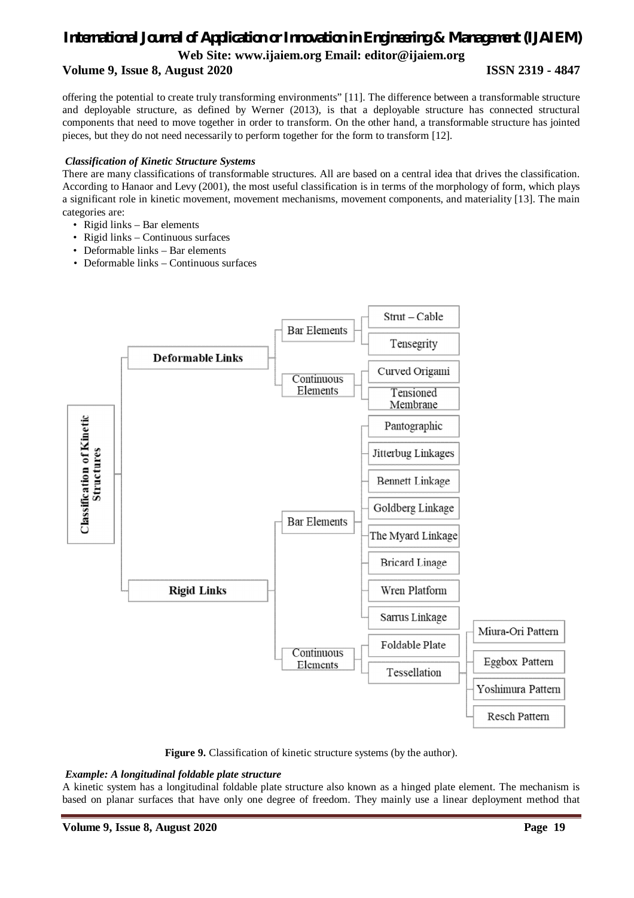### *International Journal of Application or Innovation in Engineering & Management (IJAIEM)* **Web Site: www.ijaiem.org Email: editor@ijaiem.org**

### **Volume 9, Issue 8, August 2020 ISSN 2319 - 4847**

offering the potential to create truly transforming environments" [11]. The difference between a transformable structure and deployable structure, as defined by Werner (2013), is that a deployable structure has connected structural components that need to move together in order to transform. On the other hand, a transformable structure has jointed pieces, but they do not need necessarily to perform together for the form to transform [12].

#### *Classification of Kinetic Structure Systems*

There are many classifications of transformable structures. All are based on a central idea that drives the classification. According to Hanaor and Levy (2001), the most useful classification is in terms of the morphology of form, which plays a significant role in kinetic movement, movement mechanisms, movement components, and materiality [13]. The main categories are:

- Rigid links Bar elements
- Rigid links Continuous surfaces
- Deformable links Bar elements
- Deformable links Continuous surfaces



**Figure 9.** Classification of kinetic structure systems (by the author).

#### *Example: A longitudinal foldable plate structure*

A kinetic system has a longitudinal foldable plate structure also known as a hinged plate element. The mechanism is based on planar surfaces that have only one degree of freedom. They mainly use a linear deployment method that